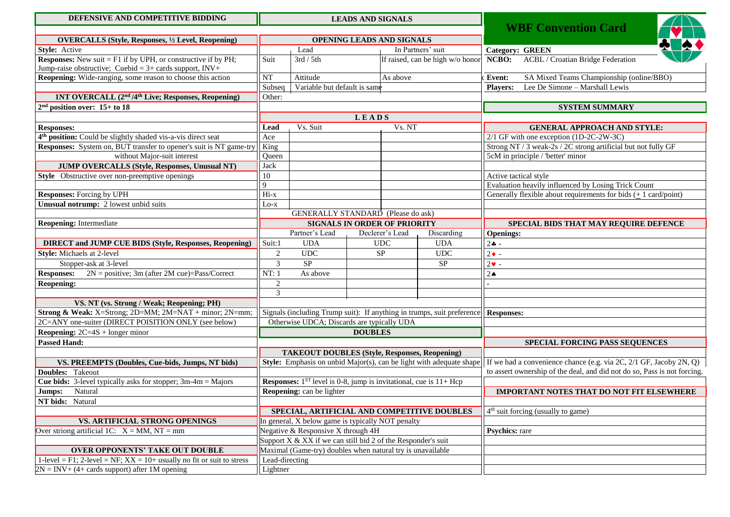| DEFENSIVE AND COMPETITIVE BIDDING                                          |                                                                                                   |                                                                                 |          | <b>LEADS AND SIGNALS</b> |                                                                     |                                                                            |
|----------------------------------------------------------------------------|---------------------------------------------------------------------------------------------------|---------------------------------------------------------------------------------|----------|--------------------------|---------------------------------------------------------------------|----------------------------------------------------------------------------|
|                                                                            | <b>WBF Convention Card</b>                                                                        |                                                                                 |          |                          |                                                                     |                                                                            |
| <b>OVERCALLS (Style, Responses, 1/2 Level, Reopening)</b>                  |                                                                                                   | OPENING LEADS AND SIGNALS                                                       |          |                          |                                                                     |                                                                            |
| Style: Active                                                              |                                                                                                   | Lead                                                                            |          | In Partners' suit        |                                                                     | <b>Category: GREEN</b>                                                     |
| <b>Responses:</b> New suit $=$ F1 if by UPH, or constructive if by PH;     | Suit                                                                                              | 3rd / 5th                                                                       |          |                          | If raised, can be high w/o honor                                    | <b>ACBL / Croatian Bridge Federation</b><br>NCBO:                          |
| Jump-raise obstructive; Cuebid = $3+$ cards support, INV+                  |                                                                                                   |                                                                                 |          |                          |                                                                     |                                                                            |
| Reopening: Wide-ranging, some reason to choose this action                 | NT                                                                                                | Attitude                                                                        | As above |                          |                                                                     | SA Mixed Teams Championship (online/BBO)<br>Event:                         |
|                                                                            | Variable but default is same<br>Subseq                                                            |                                                                                 |          |                          |                                                                     | Lee De Simone - Marshall Lewis<br><b>Players:</b>                          |
| 1NT OVERCALL (2 <sup>nd</sup> /4 <sup>th</sup> Live; Responses, Reopening) | Other:                                                                                            |                                                                                 |          |                          |                                                                     |                                                                            |
| $2nd$ position over: 15+ to 18                                             |                                                                                                   |                                                                                 |          |                          |                                                                     | <b>SYSTEM SUMMARY</b>                                                      |
|                                                                            | LEADS                                                                                             |                                                                                 |          |                          |                                                                     |                                                                            |
| <b>Responses:</b>                                                          | Vs. Suit<br>Lead                                                                                  |                                                                                 | Vs. NT   |                          | <b>GENERAL APPROACH AND STYLE:</b>                                  |                                                                            |
| 4 <sup>th</sup> position: Could be slightly shaded vis-a-vis direct seat   | Ace                                                                                               |                                                                                 |          |                          | 2/1 GF with one exception (1D-2C-2W-3C)                             |                                                                            |
| Responses: System on, BUT transfer to opener's suit is NT game-try         | King                                                                                              |                                                                                 |          |                          |                                                                     | Strong NT / 3 weak-2s / 2C strong artificial but not fully GF              |
| without Major-suit interest                                                | Oueen                                                                                             |                                                                                 |          |                          |                                                                     | 5cM in principle / 'better' minor                                          |
| <b>JUMP OVERCALLS (Style, Responses, Unusual NT)</b>                       | Jack                                                                                              |                                                                                 |          |                          |                                                                     |                                                                            |
| Style Obstructive over non-preemptive openings                             | 10                                                                                                |                                                                                 |          |                          |                                                                     | Active tactical style                                                      |
|                                                                            | 9                                                                                                 |                                                                                 |          |                          |                                                                     | Evaluation heavily influenced by Losing Trick Count                        |
| Responses: Forcing by UPH                                                  | $Hi-x$                                                                                            |                                                                                 |          |                          |                                                                     | Generally flexible about requirements for bids $(± 1 \text{ card/point})$  |
| Unusual notrump: 2 lowest unbid suits                                      | Lo-x                                                                                              |                                                                                 |          |                          |                                                                     |                                                                            |
|                                                                            | GENERALLY STANDARD (Please do ask)                                                                |                                                                                 |          |                          |                                                                     |                                                                            |
| <b>Reopening:</b> Intermediate                                             |                                                                                                   | <b>SIGNALS IN ORDER OF PRIORITY</b>                                             |          |                          |                                                                     | SPECIAL BIDS THAT MAY REQUIRE DEFENCE                                      |
|                                                                            |                                                                                                   | Partner's Lead<br>Declerer's Lead<br>Discarding                                 |          |                          |                                                                     | <b>Openings:</b>                                                           |
| <b>DIRECT</b> and JUMP CUE BIDS (Style, Responses, Reopening)              | Suit:1                                                                                            | <b>UDA</b>                                                                      |          | <b>UDC</b>               | <b>UDA</b>                                                          | $2 - $                                                                     |
| <b>Style:</b> Michaels at 2-level                                          | $\sqrt{2}$                                                                                        | <b>UDC</b>                                                                      |          | <b>SP</b>                | UDC                                                                 | $2 \bullet -$                                                              |
| Stopper-ask at 3-level                                                     | 3                                                                                                 | SP                                                                              |          |                          | <b>SP</b>                                                           | $2\bullet$ -                                                               |
| <b>Responses:</b><br>$2N =$ positive; 3m (after 2M cue)=Pass/Correct       | NT: 1                                                                                             | As above                                                                        |          |                          |                                                                     | $2\spadesuit$                                                              |
| <b>Reopening:</b>                                                          | $\overline{c}$                                                                                    |                                                                                 |          |                          |                                                                     |                                                                            |
|                                                                            | 3                                                                                                 |                                                                                 |          |                          |                                                                     |                                                                            |
| VS. NT (vs. Strong / Weak; Reopening; PH)                                  |                                                                                                   |                                                                                 |          |                          |                                                                     |                                                                            |
| Strong & Weak: X=Strong; 2D=MM; 2M=NAT + minor; 2N=mm;                     | Signals (including Trump suit): If anything in trumps, suit preference                            |                                                                                 |          |                          |                                                                     | <b>Responses:</b>                                                          |
| 2C=ANY one-suiter (DIRECT POISITION ONLY (see below)                       | Otherwise UDCA; Discards are typically UDA                                                        |                                                                                 |          |                          |                                                                     |                                                                            |
| <b>Reopening:</b> $2C=4S + longer minor$                                   | <b>DOUBLES</b>                                                                                    |                                                                                 |          |                          |                                                                     |                                                                            |
| <b>Passed Hand:</b>                                                        |                                                                                                   |                                                                                 |          |                          |                                                                     | SPECIAL FORCING PASS SEQUENCES                                             |
|                                                                            |                                                                                                   | <b>TAKEOUT DOUBLES (Style, Responses, Reopening)</b>                            |          |                          |                                                                     |                                                                            |
| VS. PREEMPTS (Doubles, Cue-bids, Jumps, NT bids)                           |                                                                                                   |                                                                                 |          |                          | Style: Emphasis on unbid Major(s), can be light with adequate shape | If we had a convenience chance (e.g. via $2C$ , $2/1$ GF, Jacoby $2N$ , Q) |
| <b>Doubles:</b> Takeout                                                    |                                                                                                   |                                                                                 |          |                          |                                                                     | to assert ownership of the deal, and did not do so, Pass is not forcing.   |
| <b>Cue bids:</b> 3-level typically asks for stopper; $3m-4m =$ Majors      |                                                                                                   | <b>Responses:</b> $1^{ST}$ level is 0-8, jump is invitational, cue is $11+$ Hcp |          |                          |                                                                     |                                                                            |
| Jumps: Natural                                                             |                                                                                                   | Reopening: can be lighter                                                       |          |                          |                                                                     | IMPORTANT NOTES THAT DO NOT FIT ELSEWHERE                                  |
| NT bids: Natural                                                           |                                                                                                   |                                                                                 |          |                          |                                                                     |                                                                            |
|                                                                            |                                                                                                   | SPECIAL, ARTIFICIAL AND COMPETITIVE DOUBLES                                     |          |                          |                                                                     | $4th$ suit forcing (usually to game)                                       |
| VS. ARTIFICIAL STRONG OPENINGS                                             |                                                                                                   | In general, X below game is typically NOT penalty                               |          |                          |                                                                     |                                                                            |
| Over striong artificial 1C: $X = MM$ , NT = mm                             |                                                                                                   | Negative & Responsive X through 4H                                              |          |                          |                                                                     | <b>Psychics:</b> rare                                                      |
|                                                                            | Support $\overline{X} \& \overline{X} \overline{X}$ if we can still bid 2 of the Responder's suit |                                                                                 |          |                          |                                                                     |                                                                            |
| <b>OVER OPPONENTS' TAKE OUT DOUBLE</b>                                     | Maximal (Game-try) doubles when natural try is unavailable                                        |                                                                                 |          |                          |                                                                     |                                                                            |
| 1-level = F1; 2-level = NF; $XX = 10+$ usually no fit or suit to stress    | Lead-directing                                                                                    |                                                                                 |          |                          |                                                                     |                                                                            |
| $2N = INV + (4 + cards support)$ after 1M opening                          | Lightner                                                                                          |                                                                                 |          |                          |                                                                     |                                                                            |